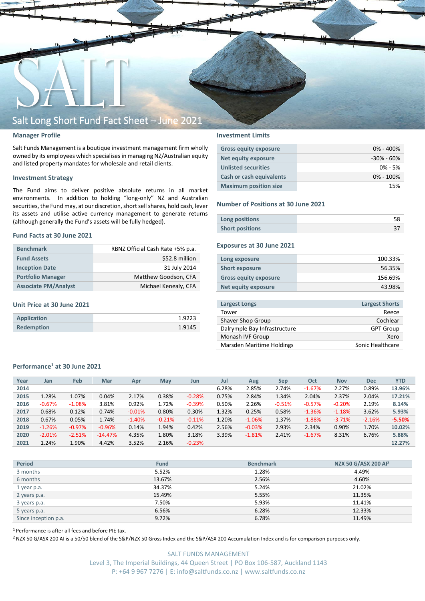

### **Manager Profile**

Salt Funds Management is a boutique investment management firm wholly owned by its employees which specialisesin managing NZ/Australian equity and listed property mandates for wholesale and retail clients.

### **Investment Strategy**

The Fund aims to deliver positive absolute returns in all market environments. In addition to holding "long-only" NZ and Australian securities, the Fund may, at our discretion, short sell shares, hold cash, lever its assets and utilise active currency management to generate returns (although generally the Fund's assets will be fully hedged).

### **Fund Facts at 30 June 2021**

| <b>Benchmark</b>            | RBNZ Official Cash Rate +5% p.a. |
|-----------------------------|----------------------------------|
| <b>Fund Assets</b>          | \$52.8 million                   |
| <b>Inception Date</b>       | 31 July 2014                     |
| <b>Portfolio Manager</b>    | Matthew Goodson, CFA             |
| <b>Associate PM/Analyst</b> | Michael Kenealy, CFA             |

### **Unit Price at 30 June 2021**

| Application       | 1.9223 |
|-------------------|--------|
| <b>Redemption</b> | 1.9145 |

### **Investment Limits**

| <b>Gross equity exposure</b>    | $0\% - 400\%$  |
|---------------------------------|----------------|
| Net equity exposure             | $-30\% - 60\%$ |
| <b>Unlisted securities</b>      | $0\% - 5\%$    |
| <b>Cash or cash equivalents</b> | $0\% - 100\%$  |
| <b>Maximum position size</b>    | 15%            |

#### **Number of Positions at 30 June 2021**

| Long positions         |  |
|------------------------|--|
| <b>Short positions</b> |  |

### **Exposures at 30 June 2021**

| Long exposure                | 100.33% |
|------------------------------|---------|
| <b>Short exposure</b>        | 56.35%  |
| <b>Gross equity exposure</b> | 156.69% |
| Net equity exposure          | 43.98%  |
|                              |         |

| <b>Largest Longs</b>         | <b>Largest Shorts</b> |
|------------------------------|-----------------------|
| Tower                        | Reece                 |
| Shaver Shop Group            | Cochlear              |
| Dalrymple Bay Infrastructure | <b>GPT Group</b>      |
| Monash IVF Group             | Xero                  |
| Marsden Maritime Holdings    | Sonic Healthcare      |
|                              |                       |

### **Performance<sup>1</sup> at 30 June 2021**

| Year | Jan      | Feb       | Mar       | Apr      | <b>May</b> | Jun      | Jul   | Aug      | Sep      | Oct      | <b>Nov</b> | <b>Dec</b> | <b>YTD</b> |
|------|----------|-----------|-----------|----------|------------|----------|-------|----------|----------|----------|------------|------------|------------|
| 2014 |          |           |           |          |            |          | 6.28% | 2.85%    | 2.74%    | $-1.67%$ | 2.27%      | 0.89%      | 13.96%     |
| 2015 | 1.28%    | 1.07%     | 0.04%     | 2.17%    | 0.38%      | $-0.28%$ | 0.75% | 2.84%    | 1.34%    | 2.04%    | 2.37%      | 2.04%      | 17.21%     |
| 2016 | $-0.67%$ | $-1.08%$  | 3.81%     | 0.92%    | 1.72%      | $-0.39%$ | 0.50% | 2.26%    | $-0.51%$ | $-0.57%$ | $-0.20%$   | 2.19%      | 8.14%      |
| 2017 | 0.68%    | 0.12%     | 0.74%     | $-0.01%$ | 0.80%      | 0.30%    | 1.32% | 0.25%    | 0.58%    | $-1.36%$ | $-1.18%$   | 3.62%      | 5.93%      |
| 2018 | 0.67%    | 0.05%     | 1.74%     | $-1.40%$ | $-0.21%$   | $-0.11%$ | 1.20% | $-1.06%$ | 1.37%    | $-1.88%$ | $-3.71%$   | $-2.16%$   | $-5.50%$   |
| 2019 | $-1.26%$ | $-0.97\%$ | $-0.96%$  | 0.14%    | 1.94%      | 0.42%    | 2.56% | $-0.03%$ | 2.93%    | 2.34%    | 0.90%      | 1.70%      | 10.02%     |
| 2020 | $-2.01%$ | $-2.51%$  | $-14.47%$ | 4.35%    | 1.80%      | 3.18%    | 3.39% | $-1.81%$ | 2.41%    | $-1.67%$ | 8.31%      | 6.76%      | 5.88%      |
| 2021 | 1.24%    | 1.90%     | 4.42%     | 3.52%    | 2.16%      | $-0.23%$ |       |          |          |          |            |            | 12.27%     |
|      |          |           |           |          |            |          |       |          |          |          |            |            |            |

| <b>Period</b>        | <b>Fund</b> | <b>Benchmark</b> | NZX 50 G/ASX 200 Al <sup>2</sup> |
|----------------------|-------------|------------------|----------------------------------|
| 3 months             | 5.52%       | 1.28%            | 4.49%                            |
| 6 months             | 13.67%      | 2.56%            | 4.60%                            |
| 1 year p.a.          | 34.37%      | 5.24%            | 21.02%                           |
| 2 years p.a.         | 15.49%      | 5.55%            | 11.35%                           |
| 3 years p.a.         | 7.50%       | 5.93%            | 11.41%                           |
| 5 years p.a.         | 6.56%       | 6.28%            | 12.33%                           |
| Since inception p.a. | 9.72%       | 6.78%            | 11.49%                           |

<sup>1</sup> Performance is after all fees and before PIE tax.

<sup>2</sup> NZX 50 G/ASX 200 AI is a 50/50 blend of the S&P/NZX 50 Gross Index and the S&P/ASX 200 Accumulation Index and is for comparison purposes only.

SALT FUNDS MANAGEMENT Level 3, The Imperial Buildings, 44 Queen Street | PO Box 106-587, Auckland 1143 P: +64 9 967 7276 | E: info@saltfunds.co.nz | www.saltfunds.co.nz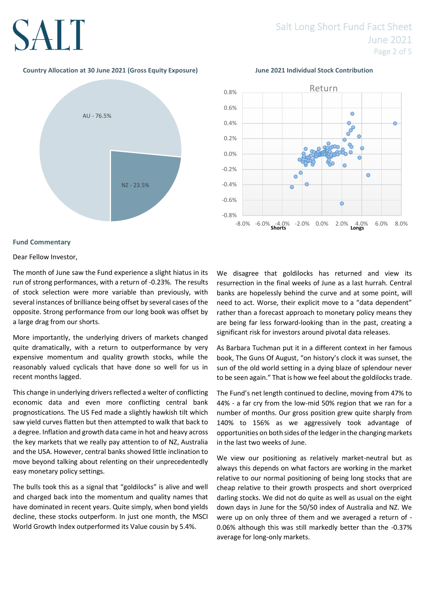# SALT

### **Country Allocation at 30 June 2021 (Gross Equity Exposure) June 2021 Individual Stock Contribution**





### **Fund Commentary**

Dear Fellow Investor,

The month of June saw the Fund experience a slight hiatus in its run of strong performances, with a return of -0.23%. The results of stock selection were more variable than previously, with several instances of brilliance being offset by several cases of the opposite. Strong performance from our long book was offset by a large drag from our shorts.

More importantly, the underlying drivers of markets changed quite dramatically, with a return to outperformance by very expensive momentum and quality growth stocks, while the reasonably valued cyclicals that have done so well for us in recent months lagged.

This change in underlying drivers reflected a welter of conflicting economic data and even more conflicting central bank prognostications. The US Fed made a slightly hawkish tilt which saw yield curves flatten but then attempted to walk that back to a degree. Inflation and growth data came in hot and heavy across the key markets that we really pay attention to of NZ, Australia and the USA. However, central banks showed little inclination to move beyond talking about relenting on their unprecedentedly easy monetary policy settings.

The bulls took this as a signal that "goldilocks" is alive and well and charged back into the momentum and quality names that have dominated in recent years. Quite simply, when bond yields decline, these stocks outperform. In just one month, the MSCI World Growth Index outperformed its Value cousin by 5.4%.

We disagree that goldilocks has returned and view its resurrection in the final weeks of June as a last hurrah. Central banks are hopelessly behind the curve and at some point, will need to act. Worse, their explicit move to a "data dependent" rather than a forecast approach to monetary policy means they are being far less forward-looking than in the past, creating a significant risk for investors around pivotal data releases.

As Barbara Tuchman put it in a different context in her famous book, The Guns Of August, "on history's clock it was sunset, the sun of the old world setting in a dying blaze of splendour never to be seen again." That is how we feel about the goldilocks trade.

The Fund's net length continued to decline, moving from 47% to 44% - a far cry from the low-mid 50% region that we ran for a number of months. Our gross position grew quite sharply from 140% to 156% as we aggressively took advantage of opportunities on both sides of the ledger in the changing markets in the last two weeks of June.

We view our positioning as relatively market-neutral but as always this depends on what factors are working in the market relative to our normal positioning of being long stocks that are cheap relative to their growth prospects and short overpriced darling stocks. We did not do quite as well as usual on the eight down days in June for the 50/50 index of Australia and NZ. We were up on only three of them and we averaged a return of - 0.06% although this was still markedly better than the -0.37% average for long-only markets.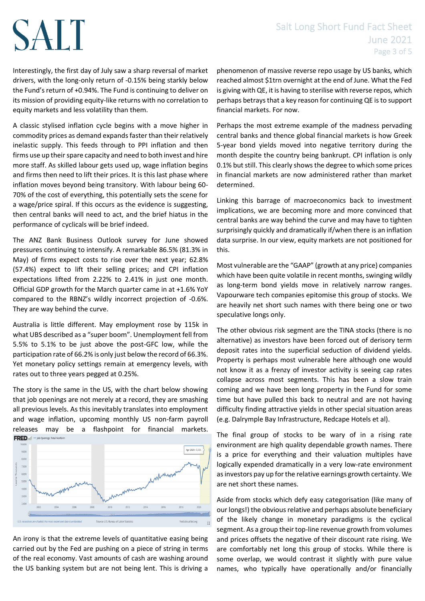## Salt Long Short Fund Fact Sheet June 2021 Page 3 of 5

Interestingly, the first day of July saw a sharp reversal of market drivers, with the long-only return of -0.15% being starkly below the Fund's return of +0.94%. The Fund is continuing to deliver on its mission of providing equity-like returns with no correlation to equity markets and less volatility than them.

SALT

A classic stylised inflation cycle begins with a move higher in commodity prices as demand expands faster than their relatively inelastic supply. This feeds through to PPI inflation and then firms use up their spare capacity and need to both invest and hire more staff. As skilled labour gets used up, wage inflation begins and firms then need to lift their prices. It is this last phase where inflation moves beyond being transitory. With labour being 60- 70% of the cost of everything, this potentially sets the scene for a wage/price spiral. If this occurs as the evidence is suggesting, then central banks will need to act, and the brief hiatus in the performance of cyclicals will be brief indeed.

The ANZ Bank Business Outlook survey for June showed pressures continuing to intensify. A remarkable 86.5% (81.3% in May) of firms expect costs to rise over the next year; 62.8% (57.4%) expect to lift their selling prices; and CPI inflation expectations lifted from 2.22% to 2.41% in just one month. Official GDP growth for the March quarter came in at +1.6% YoY compared to the RBNZ's wildly incorrect projection of -0.6%. They are way behind the curve.

Australia is little different. May employment rose by 115k in what UBS described as a "super boom". Unemployment fell from 5.5% to 5.1% to be just above the post-GFC low, while the participation rate of 66.2% is only just below the record of 66.3%. Yet monetary policy settings remain at emergency levels, with rates out to three years pegged at 0.25%.

The story is the same in the US, with the chart below showing that job openings are not merely at a record, they are smashing all previous levels. As this inevitably translates into employment and wage inflation, upcoming monthly US non-farm payroll releases may be a flashpoint for financial markets.



An irony is that the extreme levels of quantitative easing being carried out by the Fed are pushing on a piece of string in terms of the real economy. Vast amounts of cash are washing around the US banking system but are not being lent. This is driving a

phenomenon of massive reverse repo usage by US banks, which reached almost \$1trn overnight at the end of June. What the Fed is giving with QE, it is having to sterilise with reverse repos, which perhaps betrays that a key reason for continuing QE is to support financial markets. For now.

Perhaps the most extreme example of the madness pervading central banks and thence global financial markets is how Greek 5-year bond yields moved into negative territory during the month despite the country being bankrupt. CPI inflation is only 0.1% but still. This clearly shows the degree to which some prices in financial markets are now administered rather than market determined.

Linking this barrage of macroeconomics back to investment implications, we are becoming more and more convinced that central banks are way behind the curve and may have to tighten surprisingly quickly and dramatically if/when there is an inflation data surprise. In our view, equity markets are not positioned for this.

Most vulnerable are the "GAAP" (growth at any price) companies which have been quite volatile in recent months, swinging wildly as long-term bond yields move in relatively narrow ranges. Vapourware tech companies epitomise this group of stocks. We are heavily net short such names with there being one or two speculative longs only.

The other obvious risk segment are the TINA stocks (there is no alternative) as investors have been forced out of derisory term deposit rates into the superficial seduction of dividend yields. Property is perhaps most vulnerable here although one would not know it as a frenzy of investor activity is seeing cap rates collapse across most segments. This has been a slow train coming and we have been long property in the Fund for some time but have pulled this back to neutral and are not having difficulty finding attractive yields in other special situation areas (e.g. Dalrymple Bay Infrastructure, Redcape Hotels et al).

The final group of stocks to be wary of in a rising rate environment are high quality dependable growth names. There is a price for everything and their valuation multiples have logically expended dramatically in a very low-rate environment as investors pay up for the relative earnings growth certainty. We are net short these names.

Aside from stocks which defy easy categorisation (like many of our longs!) the obvious relative and perhaps absolute beneficiary of the likely change in monetary paradigms is the cyclical segment. As a group their top-line revenue growth from volumes and prices offsets the negative of their discount rate rising. We are comfortably net long this group of stocks. While there is some overlap, we would contrast it slightly with pure value names, who typically have operationally and/or financially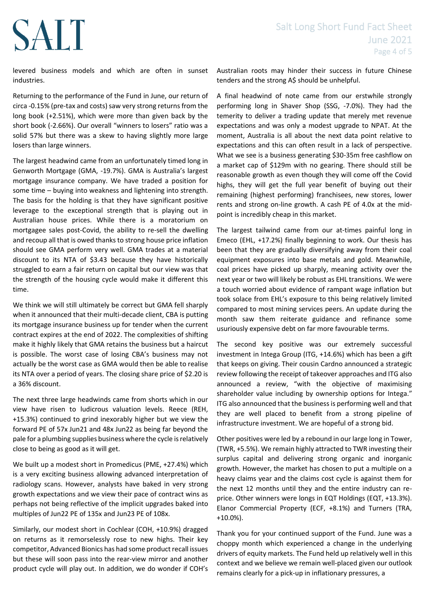### Salt Long Short Fund Fact Sheet June 2021 Page 4 of 5

levered business models and which are often in sunset industries.

**SALT** 

Returning to the performance of the Fund in June, our return of circa -0.15% (pre-tax and costs) saw very strong returns from the long book (+2.51%), which were more than given back by the short book (-2.66%). Our overall "winners to losers" ratio was a solid 57% but there was a skew to having slightly more large losers than large winners.

The largest headwind came from an unfortunately timed long in Genworth Mortgage (GMA, -19.7%). GMA is Australia's largest mortgage insurance company. We have traded a position for some time – buying into weakness and lightening into strength. The basis for the holding is that they have significant positive leverage to the exceptional strength that is playing out in Australian house prices. While there is a moratorium on mortgagee sales post-Covid, the ability to re-sell the dwelling and recoup all that is owed thanks to strong house price inflation should see GMA perform very well. GMA trades at a material discount to its NTA of \$3.43 because they have historically struggled to earn a fair return on capital but our view was that the strength of the housing cycle would make it different this time.

We think we will still ultimately be correct but GMA fell sharply when it announced that their multi-decade client, CBA is putting its mortgage insurance business up for tender when the current contract expires at the end of 2022. The complexities of shifting make it highly likely that GMA retains the business but a haircut is possible. The worst case of losing CBA's business may not actually be the worst case as GMA would then be able to realise its NTA over a period of years. The closing share price of \$2.20 is a 36% discount.

The next three large headwinds came from shorts which in our view have risen to ludicrous valuation levels. Reece (REH, +15.3%) continued to grind inexorably higher but we view the forward PE of 57x Jun21 and 48x Jun22 as being far beyond the pale for a plumbing supplies business where the cycle is relatively close to being as good as it will get.

We built up a modest short in Promedicus (PME, +27.4%) which is a very exciting business allowing advanced interpretation of radiology scans. However, analysts have baked in very strong growth expectations and we view their pace of contract wins as perhaps not being reflective of the implicit upgrades baked into multiples of Jun22 PE of 135x and Jun23 PE of 108x.

Similarly, our modest short in Cochlear (COH, +10.9%) dragged on returns as it remorselessly rose to new highs. Their key competitor, Advanced Bionics has had some product recall issues but these will soon pass into the rear-view mirror and another product cycle will play out. In addition, we do wonder if COH's

Australian roots may hinder their success in future Chinese tenders and the strong A\$ should be unhelpful.

A final headwind of note came from our erstwhile strongly performing long in Shaver Shop (SSG, -7.0%). They had the temerity to deliver a trading update that merely met revenue expectations and was only a modest upgrade to NPAT. At the moment, Australia is all about the next data point relative to expectations and this can often result in a lack of perspective. What we see is a business generating \$30-35m free cashflow on a market cap of \$129m with no gearing. There should still be reasonable growth as even though they will come off the Covid highs, they will get the full year benefit of buying out their remaining (highest performing) franchisees, new stores, lower rents and strong on-line growth. A cash PE of 4.0x at the midpoint is incredibly cheap in this market.

The largest tailwind came from our at-times painful long in Emeco (EHL, +17.2%) finally beginning to work. Our thesis has been that they are gradually diversifying away from their coal equipment exposures into base metals and gold. Meanwhile, coal prices have picked up sharply, meaning activity over the next year or two will likely be robust as EHL transitions. We were a touch worried about evidence of rampant wage inflation but took solace from EHL's exposure to this being relatively limited compared to most mining services peers. An update during the month saw them reiterate guidance and refinance some usuriously expensive debt on far more favourable terms.

The second key positive was our extremely successful investment in Intega Group (ITG, +14.6%) which has been a gift that keeps on giving. Their cousin Cardno announced a strategic review following the receipt of takeover approaches and ITG also announced a review, "with the objective of maximising shareholder value including by ownership options for Intega." ITG also announced that the business is performing well and that they are well placed to benefit from a strong pipeline of infrastructure investment. We are hopeful of a strong bid.

Other positives were led by a rebound in our large long in Tower, (TWR, +5.5%). We remain highly attracted to TWR investing their surplus capital and delivering strong organic and inorganic growth. However, the market has chosen to put a multiple on a heavy claims year and the claims cost cycle is against them for the next 12 months until they and the entire industry can reprice. Other winners were longs in EQT Holdings (EQT, +13.3%). Elanor Commercial Property (ECF, +8.1%) and Turners (TRA, +10.0%).

Thank you for your continued support of the Fund. June was a choppy month which experienced a change in the underlying drivers of equity markets. The Fund held up relatively well in this context and we believe we remain well-placed given our outlook remains clearly for a pick-up in inflationary pressures, a